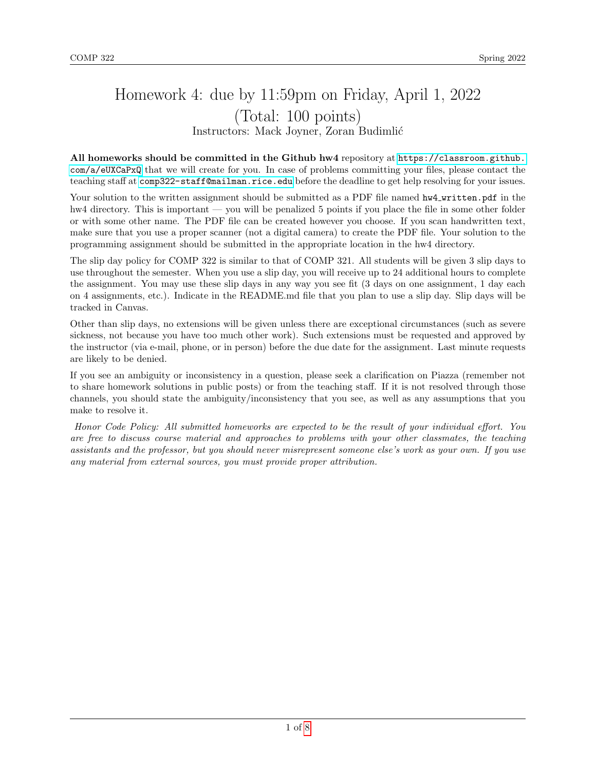# Homework 4: due by 11:59pm on Friday, April 1, 2022 (Total: 100 points) Instructors: Mack Joyner, Zoran Budimlić

All homeworks should be committed in the Github hw4 repository at [https://classroom.github.](https://classroom.github.com/a/eUXCaPxQ) [com/a/eUXCaPxQ](https://classroom.github.com/a/eUXCaPxQ) that we will create for you. In case of problems committing your files, please contact the teaching staff at <comp322-staff@mailman.rice.edu> before the deadline to get help resolving for your issues.

Your solution to the written assignment should be submitted as a PDF file named  $hw4$ -written.pdf in the hw4 directory. This is important — you will be penalized 5 points if you place the file in some other folder or with some other name. The PDF file can be created however you choose. If you scan handwritten text, make sure that you use a proper scanner (not a digital camera) to create the PDF file. Your solution to the programming assignment should be submitted in the appropriate location in the hw4 directory.

The slip day policy for COMP 322 is similar to that of COMP 321. All students will be given 3 slip days to use throughout the semester. When you use a slip day, you will receive up to 24 additional hours to complete the assignment. You may use these slip days in any way you see fit (3 days on one assignment, 1 day each on 4 assignments, etc.). Indicate in the README.md file that you plan to use a slip day. Slip days will be tracked in Canvas.

Other than slip days, no extensions will be given unless there are exceptional circumstances (such as severe sickness, not because you have too much other work). Such extensions must be requested and approved by the instructor (via e-mail, phone, or in person) before the due date for the assignment. Last minute requests are likely to be denied.

If you see an ambiguity or inconsistency in a question, please seek a clarification on Piazza (remember not to share homework solutions in public posts) or from the teaching staff. If it is not resolved through those channels, you should state the ambiguity/inconsistency that you see, as well as any assumptions that you make to resolve it.

Honor Code Policy: All submitted homeworks are expected to be the result of your individual effort. You are free to discuss course material and approaches to problems with your other classmates, the teaching assistants and the professor, but you should never misrepresent someone else's work as your own. If you use any material from external sources, you must provide proper attribution.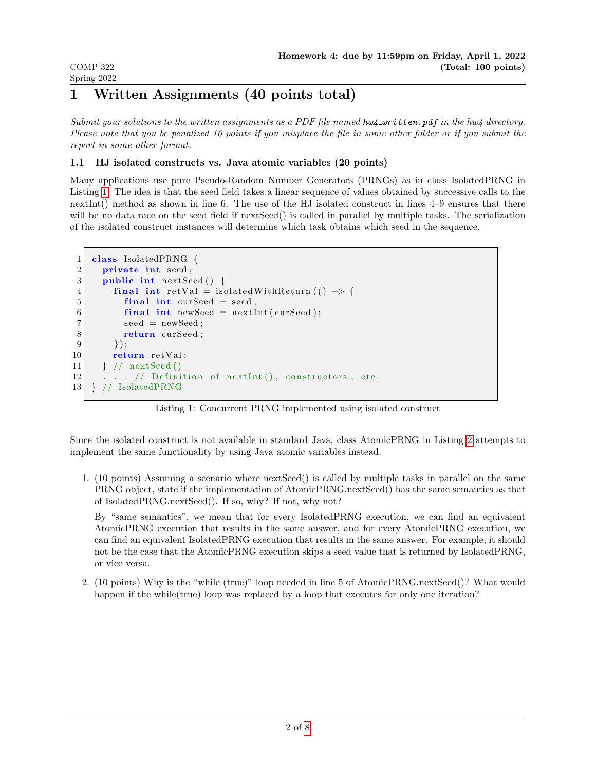## 1 Written Assignments (40 points total)

COMP 322 Spring 2022

Submit your solutions to the written assignments as a PDF file named  $hwd_+$  written.pdf in the hw4 directory. Please note that you be penalized 10 points if you misplace the file in some other folder or if you submit the report in some other format.

## 1.1 HJ isolated constructs vs. Java atomic variables (20 points)

Many applications use pure Pseudo-Random Number Generators (PRNGs) as in class IsolatedPRNG in Listing [1.](#page-1-0) The idea is that the seed field takes a linear sequence of values obtained by successive calls to the nextInt() method as shown in line 6. The use of the HJ isolated construct in lines 4–9 ensures that there will be no data race on the seed field if nextSeed() is called in parallel by multiple tasks. The serialization of the isolated construct instances will determine which task obtains which seed in the sequence.

```
1 class IsolatedPRNG {
2 private int seed;
3 public int next Seed () {
4 final int retVal = isolatedWithReturn (() \rightarrow {
5 final int curSeed = seed;
6 \vert final int newSeed = nextInt (curSeed);
7 seed = newSeed;
8 return curSeed;
9 \mid \qquad \} );
10 return retVal;
11 } // nextSeed ()
12 . . . // Definition of nextInt(), constructors, etc.
13 } // IsolatedPRNG
```
Listing 1: Concurrent PRNG implemented using isolated construct

Since the isolated construct is not available in standard Java, class AtomicPRNG in Listing [2](#page-2-0) attempts to implement the same functionality by using Java atomic variables instead.

1. (10 points) Assuming a scenario where nextSeed() is called by multiple tasks in parallel on the same PRNG object, state if the implementation of AtomicPRNG.nextSeed() has the same semantics as that of IsolatedPRNG.nextSeed(). If so, why? If not, why not?

By "same semantics", we mean that for every IsolatedPRNG execution, we can find an equivalent AtomicPRNG execution that results in the same answer, and for every AtomicPRNG execution, we can find an equivalent IsolatedPRNG execution that results in the same answer. For example, it should not be the case that the AtomicPRNG execution skips a seed value that is returned by IsolatedPRNG, or vice versa.

2. (10 points) Why is the "while (true)" loop needed in line 5 of AtomicPRNG.nextSeed()? What would happen if the while(true) loop was replaced by a loop that executes for only one iteration?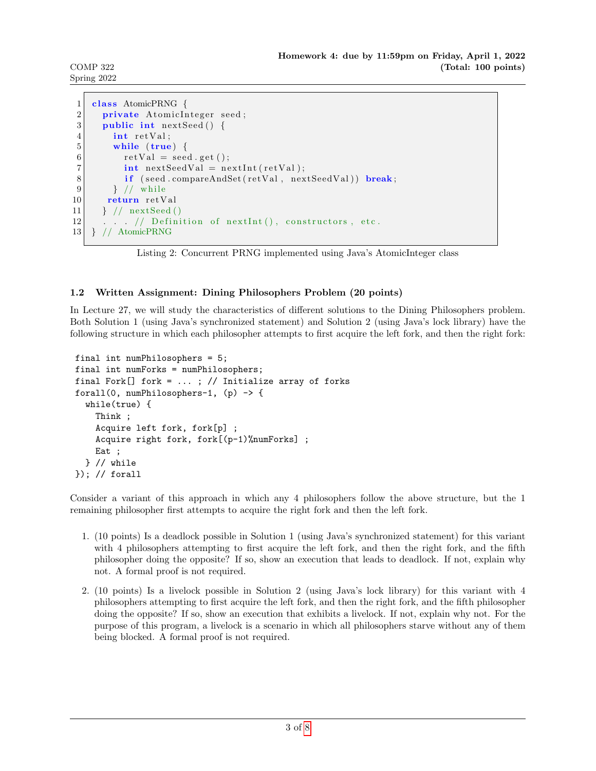COMP 322 Spring 2022

```
1 class AtomicPRNG {
2 private Atomic Integer seed;
3 public int next Seed () {
4 int retVal;
5 while (true) {
6 rel retVal = seed .get ();
7 int nextSeedVal = nextInt(retVal);
8 if (seed.compareAndSet(retVal, nextSeedVal)) break;
9 } \frac{\ }{\ } / while
10 return retVal
11 } // nextSeed ()
12 \ldots // Definition of next Int (), constructors, etc.
13 } // AtomicPRNG
```
Listing 2: Concurrent PRNG implemented using Java's AtomicInteger class

## 1.2 Written Assignment: Dining Philosophers Problem (20 points)

In Lecture 27, we will study the characteristics of different solutions to the Dining Philosophers problem. Both Solution 1 (using Java's synchronized statement) and Solution 2 (using Java's lock library) have the following structure in which each philosopher attempts to first acquire the left fork, and then the right fork:

```
final int numPhilosophers = 5;
final int numForks = numPhilosophers;
final Fork[] fork = \dots; // Initialize array of forks
forall(0, numPhilosophers-1, (p) \rightarrow \{while(true) {
    Think ;
    Acquire left fork, fork[p] ;
    Acquire right fork, fork[(p-1)%numForks] ;
    Eat ;
  } // while
}); // forall
```
Consider a variant of this approach in which any 4 philosophers follow the above structure, but the 1 remaining philosopher first attempts to acquire the right fork and then the left fork.

- 1. (10 points) Is a deadlock possible in Solution 1 (using Java's synchronized statement) for this variant with 4 philosophers attempting to first acquire the left fork, and then the right fork, and the fifth philosopher doing the opposite? If so, show an execution that leads to deadlock. If not, explain why not. A formal proof is not required.
- 2. (10 points) Is a livelock possible in Solution 2 (using Java's lock library) for this variant with 4 philosophers attempting to first acquire the left fork, and then the right fork, and the fifth philosopher doing the opposite? If so, show an execution that exhibits a livelock. If not, explain why not. For the purpose of this program, a livelock is a scenario in which all philosophers starve without any of them being blocked. A formal proof is not required.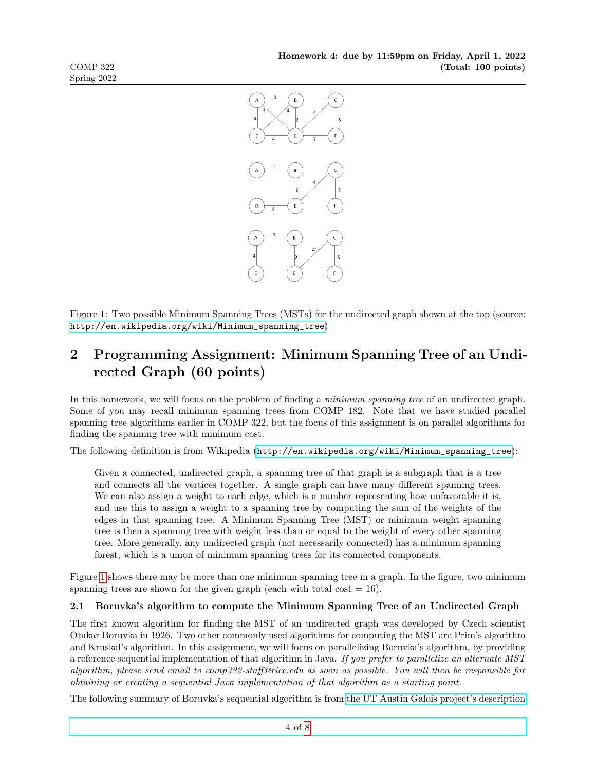

<span id="page-3-0"></span>Figure 1: Two possible Minimum Spanning Trees (MSTs) for the undirected graph shown at the top (source: [http://en.wikipedia.org/wiki/Minimum\\_spanning\\_tree](http://en.wikipedia.org/wiki/Minimum_spanning_tree))

## 2 Programming Assignment: Minimum Spanning Tree of an Undirected Graph (60 points)

In this homework, we will focus on the problem of finding a minimum spanning tree of an undirected graph. Some of you may recall minimum spanning trees from COMP 182. Note that we have studied parallel spanning tree algorithms earlier in COMP 322, but the focus of this assignment is on parallel algorithms for finding the spanning tree with minimum cost.

The following definition is from Wikipedia ([http://en.wikipedia.org/wiki/Minimum\\_spanning\\_tree](http://en.wikipedia.org/wiki/Minimum_spanning_tree)):

Given a connected, undirected graph, a spanning tree of that graph is a subgraph that is a tree and connects all the vertices together. A single graph can have many different spanning trees. We can also assign a weight to each edge, which is a number representing how unfavorable it is, and use this to assign a weight to a spanning tree by computing the sum of the weights of the edges in that spanning tree. A Minimum Spanning Tree (MST) or minimum weight spanning tree is then a spanning tree with weight less than or equal to the weight of every other spanning tree. More generally, any undirected graph (not necessarily connected) has a minimum spanning forest, which is a union of minimum spanning trees for its connected components.

Figure [1](#page-3-0) shows there may be more than one minimum spanning tree in a graph. In the figure, two minimum spanning trees are shown for the given graph (each with total cost  $= 16$ ).

## 2.1 Boruvka's algorithm to compute the Minimum Spanning Tree of an Undirected Graph

The first known algorithm for finding the MST of an undirected graph was developed by Czech scientist Otakar Boruvka in 1926. Two other commonly used algorithms for computing the MST are Prim's algorithm and Kruskal's algorithm. In this assignment, we will focus on parallelizing Boruvka's algorithm, by providing a reference sequential implementation of that algorithm in Java. If you prefer to parallelize an alternate MST algorithm, please send email to comp322-staff@rice.edu as soon as possible. You will then be responsible for obtaining or creating a sequential Java implementation of that algorithm as a starting point.

The following summary of Boruvka's sequential algorithm is from [the UT Austin Galois project's description](http://iss.ices.utexas.edu/?p=projects/galois/benchmarks/boruvkas_algorithm)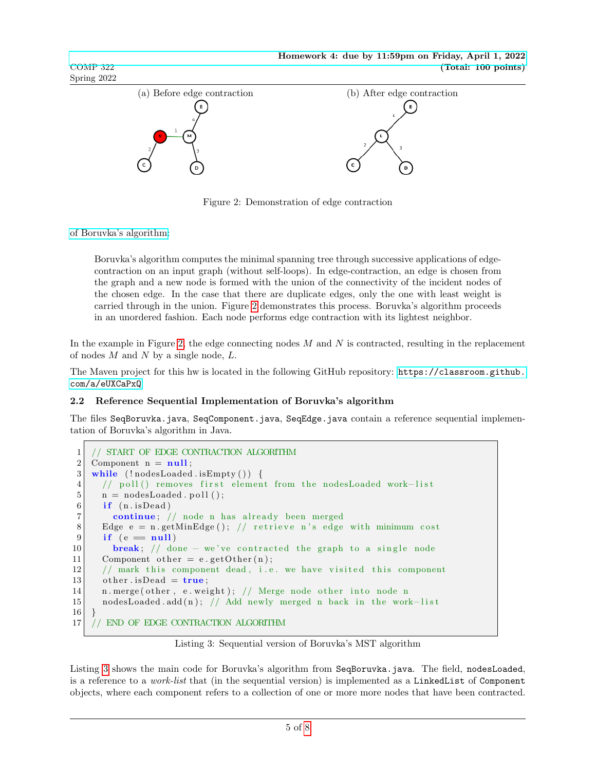

<span id="page-4-0"></span>Figure 2: Demonstration of edge contraction

[of Boruvka's algorithm:](http://iss.ices.utexas.edu/?p=projects/galois/benchmarks/boruvkas_algorithm)

COMP 322 Spring 2022

> Boruvka's algorithm computes the minimal spanning tree through successive applications of edgecontraction on an input graph (without self-loops). In edge-contraction, an edge is chosen from the graph and a new node is formed with the union of the connectivity of the incident nodes of the chosen edge. In the case that there are duplicate edges, only the one with least weight is carried through in the union. Figure [2](#page-4-0) demonstrates this process. Boruvka's algorithm proceeds in an unordered fashion. Each node performs edge contraction with its lightest neighbor.

In the example in Figure [2,](#page-4-0) the edge connecting nodes  $M$  and  $N$  is contracted, resulting in the replacement of nodes  $M$  and  $N$  by a single node,  $L$ .

The Maven project for this hw is located in the following GitHub repository: [https://classroom.github.](https://classroom.github.com/a/eUXCaPxQ) [com/a/eUXCaPxQ](https://classroom.github.com/a/eUXCaPxQ)

#### <span id="page-4-10"></span>2.2 Reference Sequential Implementation of Boruvka's algorithm

The files SeqBoruvka.java, SeqComponent.java, SeqEdge.java contain a reference sequential implementation of Boruvka's algorithm in Java.

```
1 // START OF EDGE CONTRACTION ALGORITHM
2 Component n = null;
3 while ( ! nodesLoaded . is Empty () \{4 // poll () removes first element from the nodesLoaded work-list
5 \mid n = nodesLoaded . poll ();
6 if (n.isDead)7 continue; // node n has already been merged
8 Edge e = n.getMinEdge(); // retrieve n's edge with minimum cost
9 if (e = null)10 break; // done – we've contracted the graph to a single node
11 Component other = e.getOther(n);12 // mark this component dead, i.e. we have visited this component
13 other . is Dead = true;
14 n. merge ( other, e. weight ); // Merge node other into node n
15 | nodesLoaded.add(n); // Add newly merged n back in the work-list
16 }
17 // END OF EDGE CONTRACTION ALGORITHM
```
Listing 3: Sequential version of Boruvka's MST algorithm

<span id="page-4-9"></span><span id="page-4-8"></span><span id="page-4-7"></span>Listing [3](#page-4-1) shows the main code for Boruvka's algorithm from SeqBoruvka.java. The field, nodesLoaded, is a reference to a work-list that (in the sequential version) is implemented as a LinkedList of Component objects, where each component refers to a collection of one or more more nodes that have been contracted.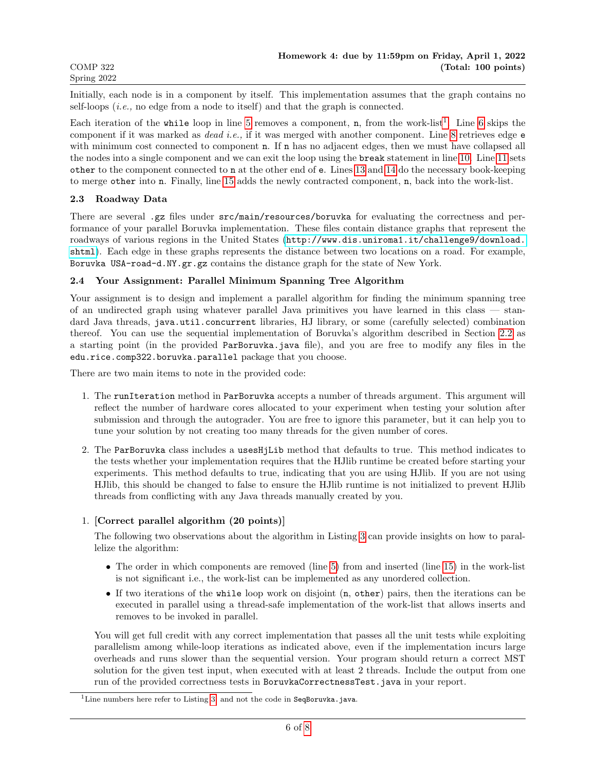Initially, each node is in a component by itself. This implementation assumes that the graph contains no self-loops  $(i.e., no edge from a node to itself) and that the graph is connected.$ 

Each iteration of the while loop in line [5](#page-4-2) removes a component,  $n$ , from the work-list<sup>[1](#page-5-0)</sup>. Line [6](#page-4-3) skips the component if it was marked as dead i.e., if it was merged with another component. Line [8](#page-4-4) retrieves edge e with minimum cost connected to component **n**. If **n** has no adjacent edges, then we must have collapsed all the nodes into a single component and we can exit the loop using the break statement in line [10.](#page-4-5) Line [11](#page-4-6) sets other to the component connected to n at the other end of e. Lines [13](#page-4-7) and [14](#page-4-8) do the necessary book-keeping to merge other into n. Finally, line [15](#page-4-9) adds the newly contracted component, n, back into the work-list.

#### 2.3 Roadway Data

There are several .gz files under  $src/main/resources/boru\nuka$  for evaluating the correctness and performance of your parallel Boruvka implementation. These files contain distance graphs that represent the roadways of various regions in the United States ([http://www.dis.uniroma1.it/challenge9/download.](http://www.dis.uniroma1.it/challenge9/download.shtml) [shtml](http://www.dis.uniroma1.it/challenge9/download.shtml)). Each edge in these graphs represents the distance between two locations on a road. For example, Boruvka USA-road-d.NY.gr.gz contains the distance graph for the state of New York.

#### 2.4 Your Assignment: Parallel Minimum Spanning Tree Algorithm

Your assignment is to design and implement a parallel algorithm for finding the minimum spanning tree of an undirected graph using whatever parallel Java primitives you have learned in this class — standard Java threads, java.util.concurrent libraries, HJ library, or some (carefully selected) combination thereof. You can use the sequential implementation of Boruvka's algorithm described in Section [2.2](#page-4-10) as a starting point (in the provided ParBoruvka.java file), and you are free to modify any files in the edu.rice.comp322.boruvka.parallel package that you choose.

There are two main items to note in the provided code:

- 1. The runIteration method in ParBoruvka accepts a number of threads argument. This argument will reflect the number of hardware cores allocated to your experiment when testing your solution after submission and through the autograder. You are free to ignore this parameter, but it can help you to tune your solution by not creating too many threads for the given number of cores.
- 2. The ParBoruvka class includes a usesHjLib method that defaults to true. This method indicates to the tests whether your implementation requires that the HJlib runtime be created before starting your experiments. This method defaults to true, indicating that you are using HJlib. If you are not using HJlib, this should be changed to false to ensure the HJlib runtime is not initialized to prevent HJlib threads from conflicting with any Java threads manually created by you.

#### 1. [Correct parallel algorithm (20 points)]

The following two observations about the algorithm in Listing [3](#page-4-1) can provide insights on how to parallelize the algorithm:

- The order in which components are removed (line [5\)](#page-4-2) from and inserted (line [15\)](#page-4-9) in the work-list is not significant i.e., the work-list can be implemented as any unordered collection.
- If two iterations of the while loop work on disjoint (n, other) pairs, then the iterations can be executed in parallel using a thread-safe implementation of the work-list that allows inserts and removes to be invoked in parallel.

You will get full credit with any correct implementation that passes all the unit tests while exploiting parallelism among while-loop iterations as indicated above, even if the implementation incurs large overheads and runs slower than the sequential version. Your program should return a correct MST solution for the given test input, when executed with at least 2 threads. Include the output from one run of the provided correctness tests in BoruvkaCorrectnessTest.java in your report.

<span id="page-5-0"></span><sup>&</sup>lt;sup>1</sup>Line numbers here refer to Listing [3,](#page-4-1) and not the code in SeqBoruvka.java.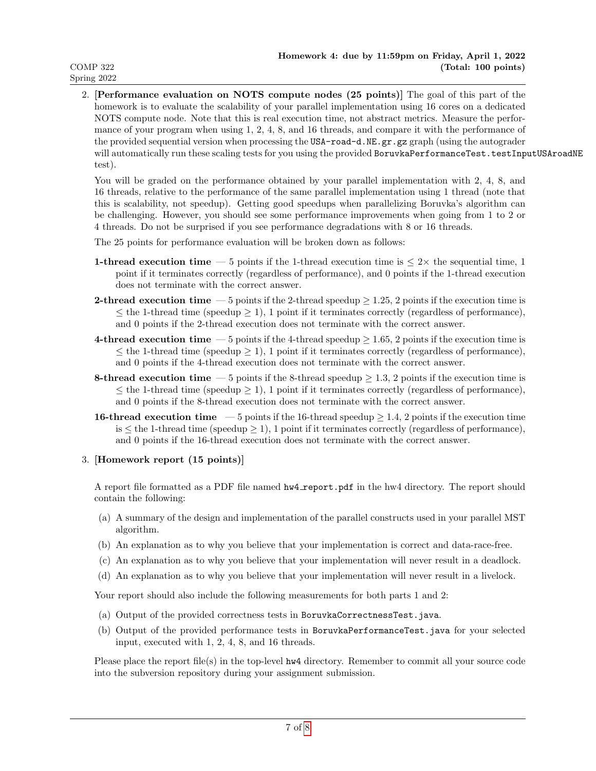2. [Performance evaluation on NOTS compute nodes (25 points)] The goal of this part of the homework is to evaluate the scalability of your parallel implementation using 16 cores on a dedicated NOTS compute node. Note that this is real execution time, not abstract metrics. Measure the performance of your program when using 1, 2, 4, 8, and 16 threads, and compare it with the performance of the provided sequential version when processing the USA-road-d.NE.gr.gz graph (using the autograder will automatically run these scaling tests for you using the provided BoruvkaPerformanceTest.testInputUSAroadNE test).

You will be graded on the performance obtained by your parallel implementation with 2, 4, 8, and 16 threads, relative to the performance of the same parallel implementation using 1 thread (note that this is scalability, not speedup). Getting good speedups when parallelizing Boruvka's algorithm can be challenging. However, you should see some performance improvements when going from 1 to 2 or 4 threads. Do not be surprised if you see performance degradations with 8 or 16 threads.

The 25 points for performance evaluation will be broken down as follows:

- **1-thread execution time** 5 points if the 1-thread execution time is  $\leq 2 \times$  the sequential time, 1 point if it terminates correctly (regardless of performance), and 0 points if the 1-thread execution does not terminate with the correct answer.
- **2-thread execution time** 5 points if the 2-thread speedup  $\geq 1.25$ , 2 points if the execution time is  $\leq$  the 1-thread time (speedup  $\geq$  1), 1 point if it terminates correctly (regardless of performance), and 0 points if the 2-thread execution does not terminate with the correct answer.
- 4-thread execution time 5 points if the 4-thread speedup  $\geq 1.65$ , 2 points if the execution time is  $\leq$  the 1-thread time (speedup  $\geq$  1), 1 point if it terminates correctly (regardless of performance), and 0 points if the 4-thread execution does not terminate with the correct answer.
- 8-thread execution time 5 points if the 8-thread speedup  $\geq 1.3$ , 2 points if the execution time is  $\leq$  the 1-thread time (speedup  $\geq$  1), 1 point if it terminates correctly (regardless of performance), and 0 points if the 8-thread execution does not terminate with the correct answer.
- **16-thread execution time** 5 points if the 16-thread speedup  $\geq 1.4$ , 2 points if the execution time is  $\leq$  the 1-thread time (speedup  $\geq$  1), 1 point if it terminates correctly (regardless of performance), and 0 points if the 16-thread execution does not terminate with the correct answer.

#### 3. [Homework report (15 points)]

A report file formatted as a PDF file named  $hw4$ -report.pdf in the hw4 directory. The report should contain the following:

- (a) A summary of the design and implementation of the parallel constructs used in your parallel MST algorithm.
- (b) An explanation as to why you believe that your implementation is correct and data-race-free.
- (c) An explanation as to why you believe that your implementation will never result in a deadlock.
- (d) An explanation as to why you believe that your implementation will never result in a livelock.

Your report should also include the following measurements for both parts 1 and 2:

- (a) Output of the provided correctness tests in BoruvkaCorrectnessTest.java.
- (b) Output of the provided performance tests in BoruvkaPerformanceTest.java for your selected input, executed with 1, 2, 4, 8, and 16 threads.

Please place the report file(s) in the top-level hw4 directory. Remember to commit all your source code into the subversion repository during your assignment submission.